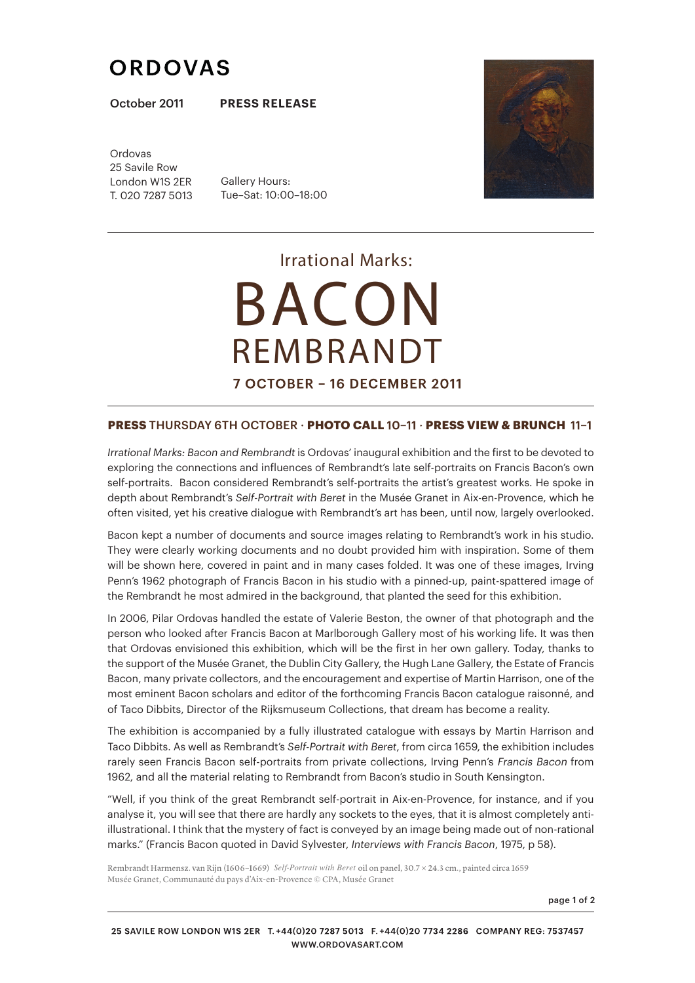# **ORDOVAS**

October 2011 **PRESS RELEASE**

Ordovas 25 Savile Row London W1S 2ER T. 020 7287 5013

Gallery Hours: Tue–Sat: 10:00–18:00



*Irrational Marks:* BACON REMBRANDT 7 OCTOBER - 16 DECEMBER 2011

### **PRESS THURSDAY 6TH OCTOBER · <b>PHOTO CALL** 10-11 · **PRESS VIEW & BRUNCH** 11-1

*Irrational Marks: Bacon and Rembrandt* is Ordovas' inaugural exhibition and the first to be devoted to exploring the connections and influences of Rembrandt's late self-portraits on Francis Bacon's own self-portraits. Bacon considered Rembrandt's self-portraits the artist's greatest works. He spoke in depth about Rembrandt's *Self-Portrait with Beret* in the Musée Granet in Aix-en-Provence, which he often visited, yet his creative dialogue with Rembrandt's art has been, until now, largely overlooked.

Bacon kept a number of documents and source images relating to Rembrandt's work in his studio. They were clearly working documents and no doubt provided him with inspiration. Some of them will be shown here, covered in paint and in many cases folded. It was one of these images, Irving Penn's 1962 photograph of Francis Bacon in his studio with a pinned-up, paint-spattered image of the Rembrandt he most admired in the background, that planted the seed for this exhibition.

In 2006, Pilar Ordovas handled the estate of Valerie Beston, the owner of that photograph and the person who looked after Francis Bacon at Marlborough Gallery most of his working life. It was then that Ordovas envisioned this exhibition, which will be the first in her own gallery. Today, thanks to the support of the Musée Granet, the Dublin City Gallery, the Hugh Lane Gallery, the Estate of Francis Bacon, many private collectors, and the encouragement and expertise of Martin Harrison, one of the most eminent Bacon scholars and editor of the forthcoming Francis Bacon catalogue raisonné, and of Taco Dibbits, Director of the Rijksmuseum Collections, that dream has become a reality.

The exhibition is accompanied by a fully illustrated catalogue with essays by Martin Harrison and Taco Dibbits. As well as Rembrandt's *Self-Portrait with Beret*, from circa 1659, the exhibition includes rarely seen Francis Bacon self-portraits from private collections, Irving Penn's Francis Bacon from 1962, and all the material relating to Rembrandt from Bacon's studio in South Kensington.

"Well, if you think of the great Rembrandt self-portrait in Aix-en-Provence, for instance, and if you analyse it, you will see that there are hardly any sockets to the eyes, that it is almost completely antiillustrational. I think that the mystery of fact is conveyed by an image being made out of non-rational marks." (Francis Bacon quoted in David Sylvester, *Interviews with Francis Bacon*, 1975, p 58).

Rembrandt Harmensz. van Rijn (1606-1669) Self-Portrait with Beret oil on panel, 30.7 × 24.3 cm., painted circa 1659 Musée Granet, Communauté du pays d'Aix-en-Provence © CPA, Musée Granet

page 1 of 2